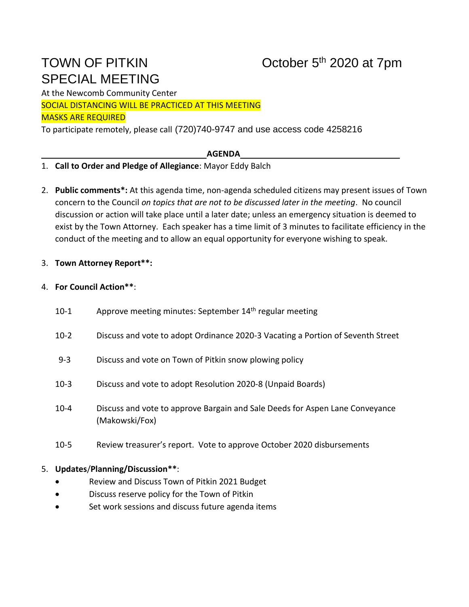# SPECIAL MEETING

# TOWN OF PITKIN **October 5<sup>th</sup> 2020** at 7pm

At the Newcomb Community Center

SOCIAL DISTANCING WILL BE PRACTICED AT THIS MEETING

#### MASKS ARE REQUIRED

To participate remotely, please call (720)740-9747 and use access code 4258216

## **AGENDA**

## 1. **Call to Order and Pledge of Allegiance**: Mayor Eddy Balch

2. **Public comments\*:** At this agenda time, non-agenda scheduled citizens may present issues of Town concern to the Council *on topics that are not to be discussed later in the meeting*. No council discussion or action will take place until a later date; unless an emergency situation is deemed to exist by the Town Attorney. Each speaker has a time limit of 3 minutes to facilitate efficiency in the conduct of the meeting and to allow an equal opportunity for everyone wishing to speak.

## 3. **Town Attorney Report\*\*:**

#### 4. **For Council Action\*\***:

- 10-1 Approve meeting minutes: September  $14<sup>th</sup>$  regular meeting
- 10-2 Discuss and vote to adopt Ordinance 2020-3 Vacating a Portion of Seventh Street
- 9-3 Discuss and vote on Town of Pitkin snow plowing policy
- 10-3 Discuss and vote to adopt Resolution 2020-8 (Unpaid Boards)
- 10-4 Discuss and vote to approve Bargain and Sale Deeds for Aspen Lane Conveyance (Makowski/Fox)
- 10-5 Review treasurer's report. Vote to approve October 2020 disbursements

#### 5. **Updates**/**Planning/Discussion\*\***:

- Review and Discuss Town of Pitkin 2021 Budget
- Discuss reserve policy for the Town of Pitkin
- Set work sessions and discuss future agenda items